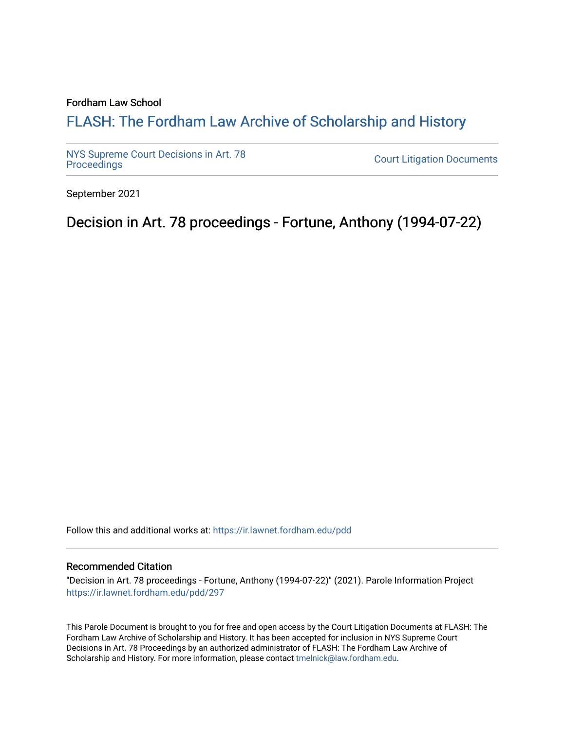# Fordham Law School

# FLASH: The For[dham Law Archive of Scholarship and Hist](https://ir.lawnet.fordham.edu/)ory

[NYS Supreme Court Decisions in Art. 78](https://ir.lawnet.fordham.edu/pdd)

**Court Litigation Documents** 

September 2021

Decision in Art. 78 proceedings - Fortune, Anthony (1994-07-22)

Follow this and additional works at: [https://ir.lawnet.fordham.edu/pdd](https://ir.lawnet.fordham.edu/pdd?utm_source=ir.lawnet.fordham.edu%2Fpdd%2F297&utm_medium=PDF&utm_campaign=PDFCoverPages)

## Recommended Citation

"Decision in Art. 78 proceedings - Fortune, Anthony (1994-07-22)" (2021). Parole Information Project [https://ir.lawnet.fordham.edu/pdd/297](https://ir.lawnet.fordham.edu/pdd/297?utm_source=ir.lawnet.fordham.edu%2Fpdd%2F297&utm_medium=PDF&utm_campaign=PDFCoverPages)

This Parole Document is brought to you for free and open access by the Court Litigation Documents at FLASH: The Fordham Law Archive of Scholarship and History. It has been accepted for inclusion in NYS Supreme Court Decisions in Art. 78 Proceedings by an authorized administrator of FLASH: The Fordham Law Archive of Scholarship and History. For more information, please contact [tmelnick@law.fordham.edu](mailto:tmelnick@law.fordham.edu).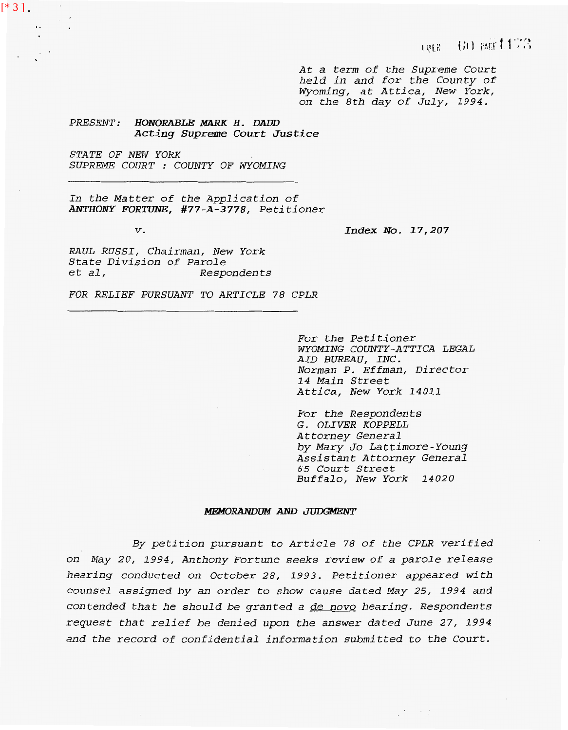*At a term of the Supreme Court held in and for the County of Wyoming, at Attica, New York, on the 8th day of July, 1994.* 

*PRESENT: HONORABLE* **MARK** *H. DADD Acting Supreme Court Justice* 

*STATE OF NEW YORK SUPREME COURT* : *COUNTY OF WYOMING* 

*In the Matter of the Application of ANTHONY FORTUNE, #77-A-3778, Petitioner* 

**I.** 

 $[ * 3 ].$ 

*V. Index No. 17,207* 

*RAUL RUSSI, Chairman, New York State Division of Parole et al, Respondents* 

*FOR RELIEF PURSUANT TO ARTICLE 78 CPLR* 

*For the Petitioner AID BUREAU, INC. WYOMING COUNTY-ATTICA LEGAL Norman P. Effman, Director 14 Main Street Attica, New York 14011* 

*For the Respondents G. OLIVER KOPPELL Attorney General by Mary Jo La t timore- Young Assistant Attorney General 65 Court Street Buffalo, New York 14020* 

 $\frac{1}{2}$  ,  $\frac{1}{2}$  ,  $\frac{1}{2}$  ,  $\frac{1}{2}$  ,  $\frac{1}{2}$ 

#### MEMORANDUM AND JUDGMENT

*By petition pursuant to Article 78 of the CPLR verified on May 20, 1994, Anthony Fortune seeks review of a parole release hearing conducted on October 28, 1993. Petitioner appeared with counsel assigned by an order to show cause dated May 25, 1994 and contended that he should be granted a de novo hearing. Respondents request that relief be denied upon the answer dated June 27, 1994 and the record of confidential information submitted to the Court.*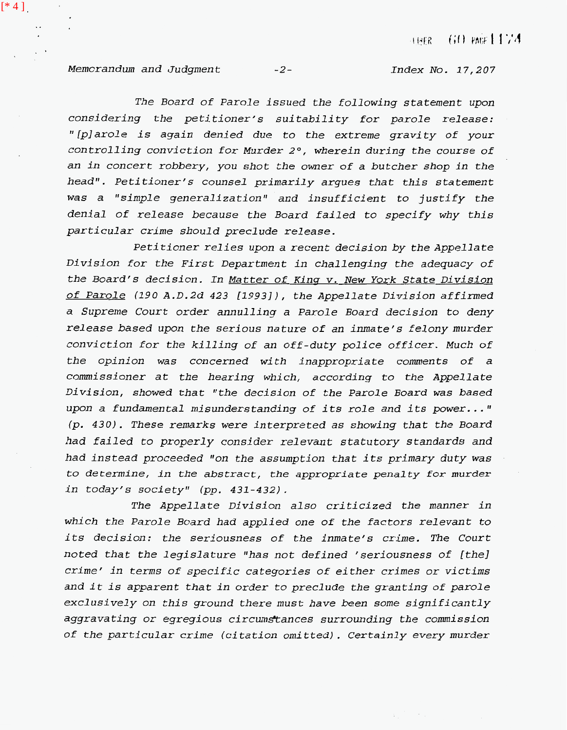*Memorandum and Judgment -2- Index No. 17,207* 

 $[ * 4 ].$ 

*The Board of Parole issued the following statement upon considering the petitioner's suitability for parole release: ''fplarole is again denied due to the extreme gravity of your controlling conviction for Murder 2°, wherein during the course of an in concert robbery, you shot the owner of a butcher shop in the head". Petitioner's counsel primarily argues that this statement*  was a "simple generalization" and insufficient to justify the *denial of release because the Board failed to specify why this particular crime should preclude release.* 

*Petitioner relies upon a recent decision by the Appellate Division for the First Department in challenging the adequacy of the Board's decision. In Matter of Kinq v. New York State Division of Parole (190 A.D.2d 423 [1993]), the Appellate Division affirmed a Supreme Court order annulling a Parole Board decision to deny release based upon the serious nature of an inmate's felony murder conviction for the killing of an off-duty police officer. Much of the opinion was concerned with inappropriate comments of a commissioner at the hearing which, according to the Appellate Division, showed that "the decision of the Parole Board was based upon a fundamental misunderstanding of its role and its power..* . **If**  *(p. 430). These remarks were interpreted as showing that the Board had failed to properly consider relevant statutory standards and*  had instead proceeded "on the assumption that its primary duty was *to determine, in the abstract, the appropriate penalty* for *murder in today's society" (pp. 431-432).* 

*The Appellate Division also criticized the manner in which the Parole Board had applied one of the factors relevant to its decision: the seriousness of the inmate's crime. The Court noted that the legislature Ifhas not defined 'seriousness of [the] crime' in terms of specific categories of either crimes or victims and it is apparent that in order to preclude the granting of parole exclusively on this ground there must have been some significantly aggravating or egregious circumstances surrounding the commission of the particular crime (citation omitted). Certainly every murder*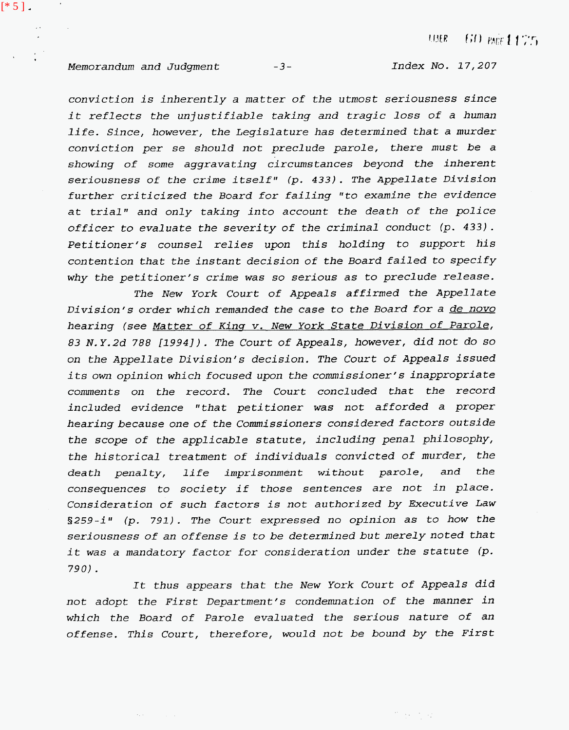### *Memorandum and Judgment* **-3-**

 $\sigma_{\rm{max}} = 10^{11}$  and  $\sigma_{\rm{max}}$ 

 $[ * 5 ]$ 

 $\sim$   $\epsilon$ 

 $\sim$   $\sim$ 

Index No. 17,207

*conviction is inherently a matter of the utmost seriousness since it reflects the unjustifiable taking and tragic loss of a human life. Since, however, the Legislature has determined that a murder conviction per se should not preclude parole, there must be a showing of some aggravating circumstances beyond the inherent seriousness of the crime itself" (p.* **433).** *The Appellate Division further criticized the Board for failing "to examine the evidence at trial" and only taking into account the death of the police officer to evaluate the severity of the criminal conduct (p.* **433).**  *Petitioner's counsel relies upon this holding to support his contention that the instant decision of the Board failed to specify why the petitioner's crime was so serious as to preclude release.* 

*The New York Court of Appeals affirmed the Appellate Division's order which remanded the case to the Board for a de novo hearing (see Matter of Kins v. New York State Division of Parole, 83 N.Y.2d 788 [1994]). The Court of Appeals, however, did not do so on the Appellate Division's decision. The Court of Appeals issued its* own *opinion which focused upon the commissioner's inappropriate comments on the record. The Court concluded that the record included evidence "that petitioner was not afforded a proper hearing because one of the Commissioners considered factors outside the scope of the applicable statute, including penal philosophy, the historical treatment of individuals convicted of murder, the death penalty, life imprisonment without parole, and the consequences to society if those sentences are not in place. Consideration of such factors is not authorized by Executive Law*  §259-i" (p. 791). The Court expressed no opinion as to how the *seriousness of an offense is to be determined but merely noted that it was a mandatory factor for consideration under the statute (p. 790).* 

*It thus appears that the New York Court of Appeals did not adopt the First Department's condemnation of the manner in which the Board of Parole evaluated the serious nature of an offense. This Court, therefore, would not be bound by the First*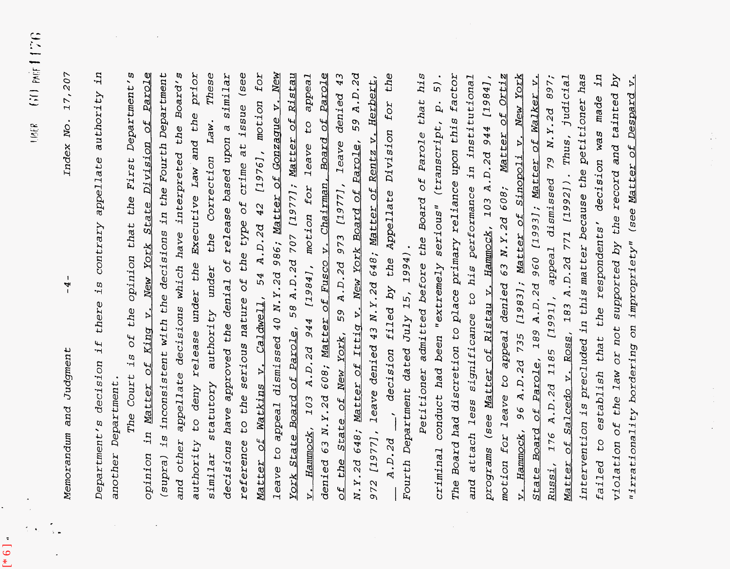*Memorandum and Judgment -4- Index No. 17,207*  Judgment  $and$ Memorandum

 $\overline{\phantom{a}}$  $-4$ 

**d** 

[\* 6 ]

17,207 Index No.

*Department's decision if there is contrary appellate authority in*  in authority appellate is contrary there  $\pm$ decision *another Department.*  another Department Department's

*Matter of Watkins v. Caldwell, 54 A.D.2d 42 [1976], motion for reference to the serious nature of the type of crime at issue (see of the State of New York, 59 A.D.2d 973 [19771, leave denied 43 opinion in Matter of Kinq v. New York State Division of Parole authority to deny release under the Executive Law and the prior (supra) is inconsistent with the decisions in the Fourth Department similar statutory authority under the Correction Law. These leave to appeal dismissed 40 N.Y.2d 986; Matter of Gonzasue v. New York State Board of Parole, 58 A.D.2d 707 [19771; Matter of Ristau N.Y.2d 648; <u>Matter of Ittig v. New York Board of Parole</u>, 59 A.D.2d<br>972 [1977], leave denied 43 N.Y.2d 648; <u>Matter of Rentz v. Herbert</u>,<br>\_\_ A.D.2d \_\_, decision filed by the Appellate Division for the The Court is of the opinion that the First Department's and other appellate decisions which have interpreted the Board's decisions have approved the denial of release based upon a similar*  **New** *v. Hammock, 103 A.D.2d 944 [1984], motion for leave to appeal denied 63 N.Y.2d 608; Matter of Fusco v. Chairman, Board of Parole*  The Court is of the opinion that the First Department's Parole (supra) is inconsistent with the decisions in the Fourth Department appellate decisions which have interpreted the Board's Law and the prior similar statutory authority under the Correction Law. These decisions have approved the denial of release based upon a similar for  $43$ *972 [1977], leave denied 43 N.Y.2d 648; Matter of Rentz v. Herbert,*  the at issue (see 59 A.D.2d Ristau appeal Parole *N.Y.2d 648; Matter of Ittiq v. New York Board of Parole, 59 A.D.2d*  leave denied 43 N.Y.2d 648; Matter of Rentz v. Herbert, denied to appeal dismissed 40 N.Y.2d 986; Matter of Gonzaque V. Matter of Watkins v. Caldwell, 54 A.D.2d 42 [1976], motion  $f$ O $\Upsilon$  $\frac{d}{d}$ State Board of Parole, 58 A.D.2d 707 [1977]; Matter of denied 63 N.Y.2d 608; Matter of Fusco v. Chairman, Board of  $c_1$ Appellate Division Division leave N.Y.2d 648; Matter of Ittig v. New York Board of Parole, leave the type of crime  $[1977]$ , 103 A.D.2d 944 [1984], motion for under the Executive New York State 973 *Fourth Department dated July 15, 1994).*  Fourth Department dated July 15, 1994). the 59 A.D.2d the serious nature of filed by in Matter of King v. State of New York, authority to deny release decision  $c_1$ 972 [1977], Hammock, A.D.2d and other reference opinion the leave YOIK <u>th</u>

*criminal conduct had been Ifextremely serious" (transcript, p. 5). programs (see Matter of Ristau v. Hammock, 103 A.D.2d 944 [19841, Petitioner admitted before the Board of Parole that his motion for leave to appeal denied 63 N.Y.2d 608; Matter of Orliz Russi, 176 A.D.2d 1185 [1991], appeal dismissed 79 N.Y.2d 897; The Board had discretion to place primary reliance upon this factor failed to establish that the respondents' decision was made in and attach less sigxificance to his perfornance in institutional v. Hammock, 96 A.D.2d 735 [1983]; Matter of Sinowoli v. New York violation of the law or not supported by the record and tainted by State Board of Parole, 189 A.D.2d 960 [1993]; Matter of Walker v. Matter of Salcedo v. Ross, 183 A.D.2d 771 [1992]). Thus, judicial intervention is precluded in this matter because the petitioner has*  ЦĻ *Ifirrationality bordering on impropriety" (see Matter of Desward v.*  Petitioner admitted before the Board of Parole that his The Board had discretion to place primary reliance upon this factor and attach less significance to his performance in institutional motion for leave to appeal denied 63 N.Y.2d 608; Matter of Ortiz [1983]; Matter of Sinopoli v. New York intervention is precluded in this matter because the petitioner has violation of the law or not supported by the record and tainted by programs (see Matter of Ristau v. Hammock, 103 A.D.2d 944 [1984], 176 A.D.2d 1185 [1991], appeal dismissed 79 N.Y.2d 897; judicial of Walker v. <sup>2</sup>  $\overline{5}$ . establish that the respondents' decision was made Despard (transcript, p. Matter of Salcedo v. Ross, 183 A.D.2d 771 [1992]). Thus, (see Matter of State Board of Parole, 189 A.D.2d 960 [1993]; Matter serious" "irrationality bordering on impropriety" conduct had been "extremely A.D.2d 735 Hammock, 96 failed to criminal Russi,  $\frac{1}{2}$